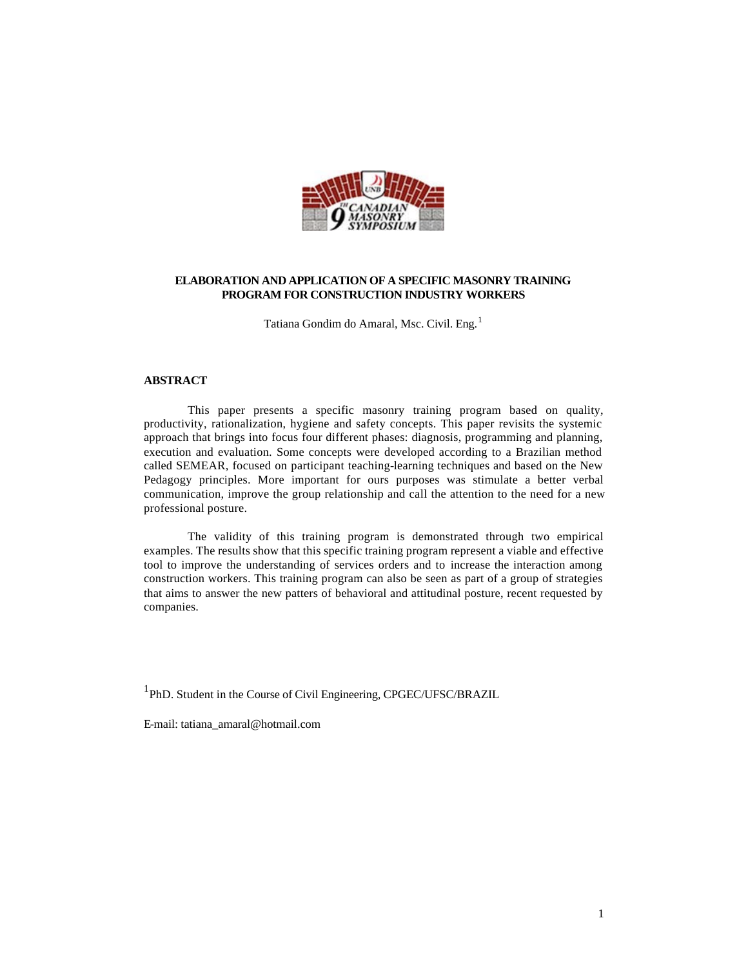

## **ELABORATION AND APPLICATION OF A SPECIFIC MASONRY TRAINING PROGRAM FOR CONSTRUCTION INDUSTRY WORKERS**

Tatiana Gondim do Amaral, Msc. Civil. Eng.<sup>1</sup>

### **ABSTRACT**

This paper presents a specific masonry training program based on quality, productivity, rationalization, hygiene and safety concepts. This paper revisits the systemic approach that brings into focus four different phases: diagnosis, programming and planning, execution and evaluation. Some concepts were developed according to a Brazilian method called SEMEAR, focused on participant teaching-learning techniques and based on the New Pedagogy principles. More important for ours purposes was stimulate a better verbal communication, improve the group relationship and call the attention to the need for a new professional posture.

The validity of this training program is demonstrated through two empirical examples. The results show that this specific training program represent a viable and effective tool to improve the understanding of services orders and to increase the interaction among construction workers. This training program can also be seen as part of a group of strategies that aims to answer the new patters of behavioral and attitudinal posture, recent requested by companies.

<sup>1</sup>PhD. Student in the Course of Civil Engineering, CPGEC/UFSC/BRAZIL

E-mail: tatiana\_amaral@hotmail.com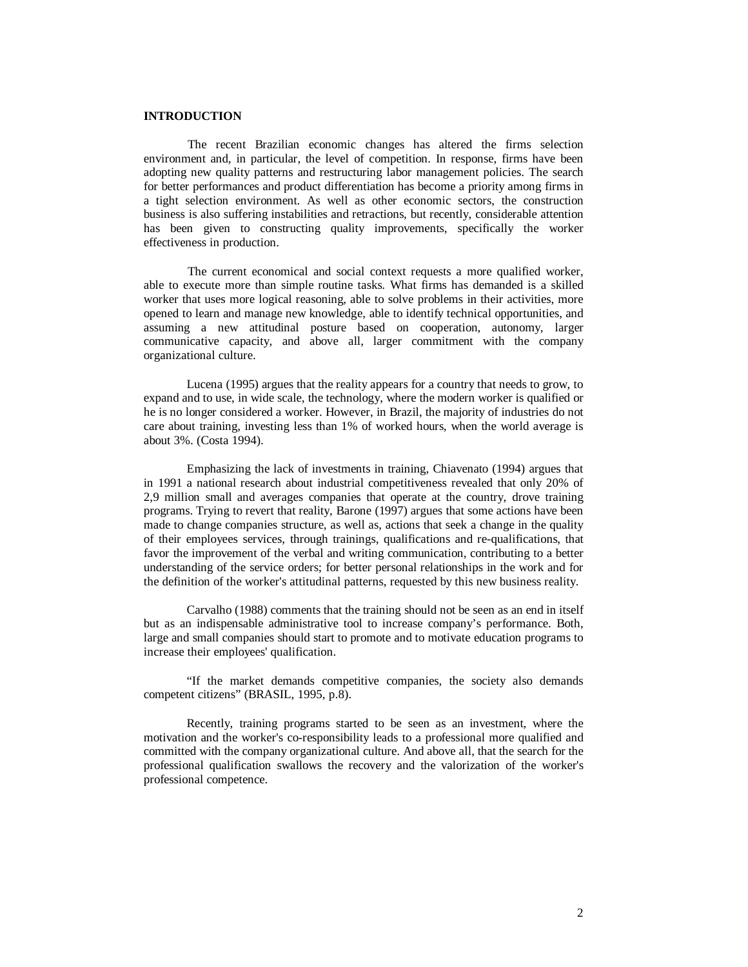### **INTRODUCTION**

 The recent Brazilian economic changes has altered the firms selection environment and, in particular, the level of competition. In response, firms have been adopting new quality patterns and restructuring labor management policies. The search for better performances and product differentiation has become a priority among firms in a tight selection environment. As well as other economic sectors, the construction business is also suffering instabilities and retractions, but recently, considerable attention has been given to constructing quality improvements, specifically the worker effectiveness in production.

 The current economical and social context requests a more qualified worker, able to execute more than simple routine tasks. What firms has demanded is a skilled worker that uses more logical reasoning, able to solve problems in their activities, more opened to learn and manage new knowledge, able to identify technical opportunities, and assuming a new attitudinal posture based on cooperation, autonomy, larger communicative capacity, and above all, larger commitment with the company organizational culture.

Lucena (1995) argues that the reality appears for a country that needs to grow, to expand and to use, in wide scale, the technology, where the modern worker is qualified or he is no longer considered a worker. However, in Brazil, the majority of industries do not care about training, investing less than 1% of worked hours, when the world average is about 3%. (Costa 1994).

Emphasizing the lack of investments in training, Chiavenato (1994) argues that in 1991 a national research about industrial competitiveness revealed that only 20% of 2,9 million small and averages companies that operate at the country, drove training programs. Trying to revert that reality, Barone (1997) argues that some actions have been made to change companies structure, as well as, actions that seek a change in the quality of their employees services, through trainings, qualifications and re-qualifications, that favor the improvement of the verbal and writing communication, contributing to a better understanding of the service orders; for better personal relationships in the work and for the definition of the worker's attitudinal patterns, requested by this new business reality.

Carvalho (1988) comments that the training should not be seen as an end in itself but as an indispensable administrative tool to increase company's performance. Both, large and small companies should start to promote and to motivate education programs to increase their employees' qualification.

"If the market demands competitive companies, the society also demands competent citizens" (BRASIL, 1995, p.8).

Recently, training programs started to be seen as an investment, where the motivation and the worker's co-responsibility leads to a professional more qualified and committed with the company organizational culture. And above all, that the search for the professional qualification swallows the recovery and the valorization of the worker's professional competence.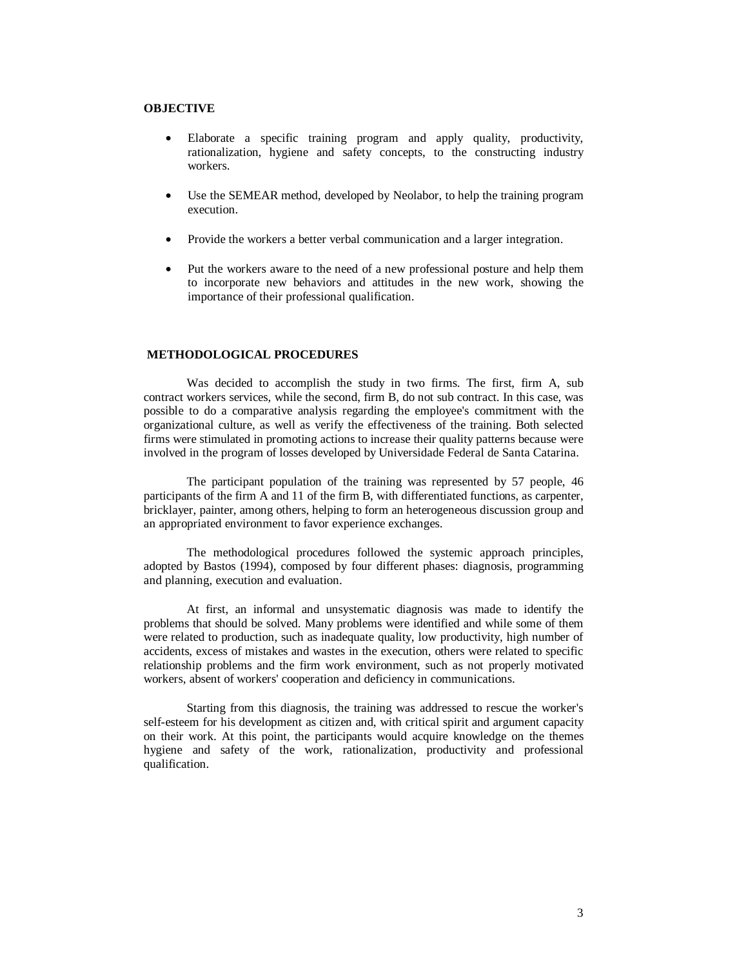# **OBJECTIVE**

- Elaborate a specific training program and apply quality, productivity, rationalization, hygiene and safety concepts, to the constructing industry workers.
- Use the SEMEAR method, developed by Neolabor, to help the training program execution.
- Provide the workers a better verbal communication and a larger integration.
- Put the workers aware to the need of a new professional posture and help them to incorporate new behaviors and attitudes in the new work, showing the importance of their professional qualification.

### **METHODOLOGICAL PROCEDURES**

Was decided to accomplish the study in two firms. The first, firm A, sub contract workers services, while the second, firm B, do not sub contract. In this case, was possible to do a comparative analysis regarding the employee's commitment with the organizational culture, as well as verify the effectiveness of the training. Both selected firms were stimulated in promoting actions to increase their quality patterns because were involved in the program of losses developed by Universidade Federal de Santa Catarina.

The participant population of the training was represented by 57 people, 46 participants of the firm A and 11 of the firm B, with differentiated functions, as carpenter, bricklayer, painter, among others, helping to form an heterogeneous discussion group and an appropriated environment to favor experience exchanges.

The methodological procedures followed the systemic approach principles, adopted by Bastos (1994), composed by four different phases: diagnosis, programming and planning, execution and evaluation.

At first, an informal and unsystematic diagnosis was made to identify the problems that should be solved. Many problems were identified and while some of them were related to production, such as inadequate quality, low productivity, high number of accidents, excess of mistakes and wastes in the execution, others were related to specific relationship problems and the firm work environment, such as not properly motivated workers, absent of workers' cooperation and deficiency in communications.

Starting from this diagnosis, the training was addressed to rescue the worker's self-esteem for his development as citizen and, with critical spirit and argument capacity on their work. At this point, the participants would acquire knowledge on the themes hygiene and safety of the work, rationalization, productivity and professional qualification.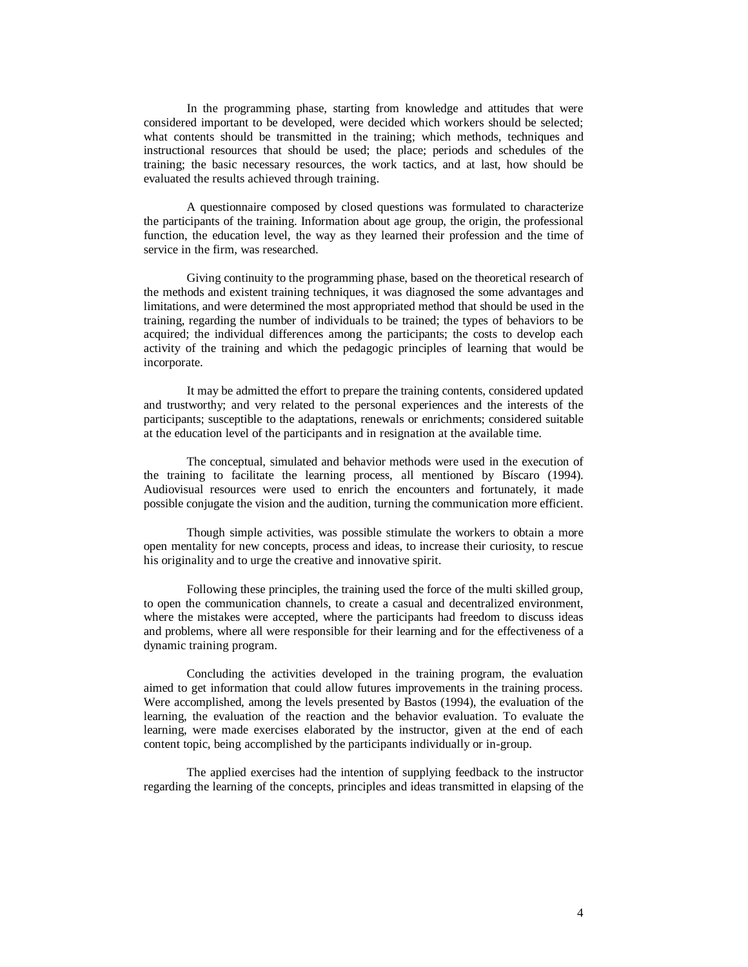In the programming phase, starting from knowledge and attitudes that were considered important to be developed, were decided which workers should be selected; what contents should be transmitted in the training; which methods, techniques and instructional resources that should be used; the place; periods and schedules of the training; the basic necessary resources, the work tactics, and at last, how should be evaluated the results achieved through training.

A questionnaire composed by closed questions was formulated to characterize the participants of the training. Information about age group, the origin, the professional function, the education level, the way as they learned their profession and the time of service in the firm, was researched.

Giving continuity to the programming phase, based on the theoretical research of the methods and existent training techniques, it was diagnosed the some advantages and limitations, and were determined the most appropriated method that should be used in the training, regarding the number of individuals to be trained; the types of behaviors to be acquired; the individual differences among the participants; the costs to develop each activity of the training and which the pedagogic principles of learning that would be incorporate.

It may be admitted the effort to prepare the training contents, considered updated and trustworthy; and very related to the personal experiences and the interests of the participants; susceptible to the adaptations, renewals or enrichments; considered suitable at the education level of the participants and in resignation at the available time.

The conceptual, simulated and behavior methods were used in the execution of the training to facilitate the learning process, all mentioned by Bíscaro (1994). Audiovisual resources were used to enrich the encounters and fortunately, it made possible conjugate the vision and the audition, turning the communication more efficient.

Though simple activities, was possible stimulate the workers to obtain a more open mentality for new concepts, process and ideas, to increase their curiosity, to rescue his originality and to urge the creative and innovative spirit.

Following these principles, the training used the force of the multi skilled group, to open the communication channels, to create a casual and decentralized environment, where the mistakes were accepted, where the participants had freedom to discuss ideas and problems, where all were responsible for their learning and for the effectiveness of a dynamic training program.

Concluding the activities developed in the training program, the evaluation aimed to get information that could allow futures improvements in the training process. Were accomplished, among the levels presented by Bastos (1994), the evaluation of the learning, the evaluation of the reaction and the behavior evaluation. To evaluate the learning, were made exercises elaborated by the instructor, given at the end of each content topic, being accomplished by the participants individually or in-group.

The applied exercises had the intention of supplying feedback to the instructor regarding the learning of the concepts, principles and ideas transmitted in elapsing of the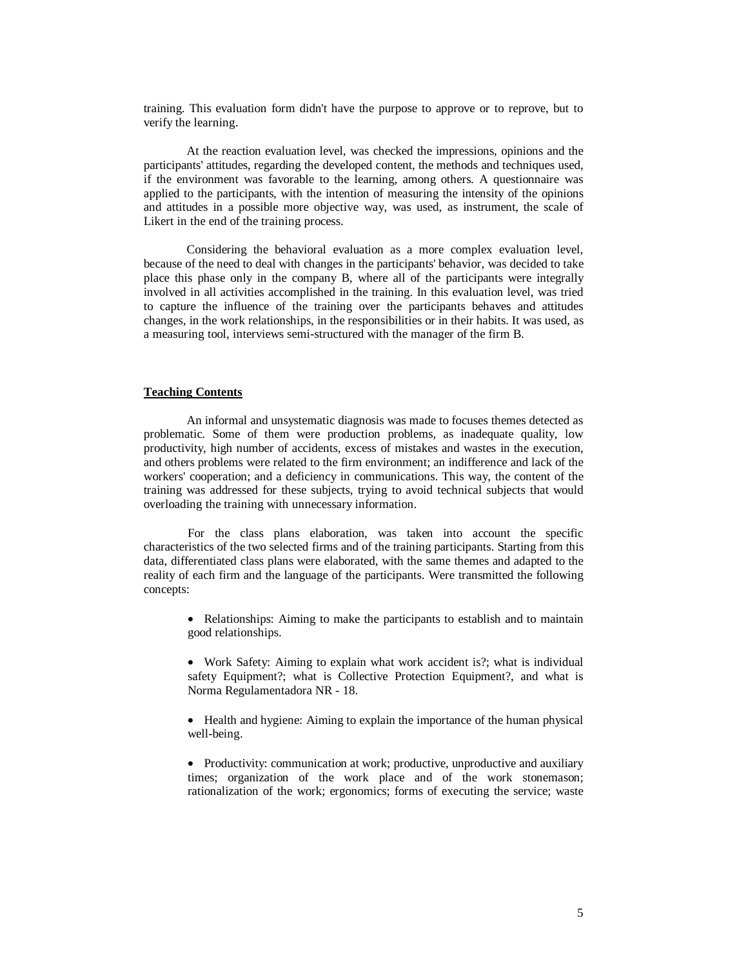training. This evaluation form didn't have the purpose to approve or to reprove, but to verify the learning.

At the reaction evaluation level, was checked the impressions, opinions and the participants' attitudes, regarding the developed content, the methods and techniques used, if the environment was favorable to the learning, among others. A questionnaire was applied to the participants, with the intention of measuring the intensity of the opinions and attitudes in a possible more objective way, was used, as instrument, the scale of Likert in the end of the training process.

Considering the behavioral evaluation as a more complex evaluation level, because of the need to deal with changes in the participants' behavior, was decided to take place this phase only in the company B, where all of the participants were integrally involved in all activities accomplished in the training. In this evaluation level, was tried to capture the influence of the training over the participants behaves and attitudes changes, in the work relationships, in the responsibilities or in their habits. It was used, as a measuring tool, interviews semi-structured with the manager of the firm B.

## **Teaching Contents**

An informal and unsystematic diagnosis was made to focuses themes detected as problematic. Some of them were production problems, as inadequate quality, low productivity, high number of accidents, excess of mistakes and wastes in the execution, and others problems were related to the firm environment; an indifference and lack of the workers' cooperation; and a deficiency in communications. This way, the content of the training was addressed for these subjects, trying to avoid technical subjects that would overloading the training with unnecessary information.

For the class plans elaboration, was taken into account the specific characteristics of the two selected firms and of the training participants. Starting from this data, differentiated class plans were elaborated, with the same themes and adapted to the reality of each firm and the language of the participants. Were transmitted the following concepts:

• Relationships: Aiming to make the participants to establish and to maintain good relationships.

• Work Safety: Aiming to explain what work accident is?; what is individual safety Equipment?; what is Collective Protection Equipment?, and what is Norma Regulamentadora NR - 18.

• Health and hygiene: Aiming to explain the importance of the human physical well-being.

• Productivity: communication at work; productive, unproductive and auxiliary times; organization of the work place and of the work stonemason; rationalization of the work; ergonomics; forms of executing the service; waste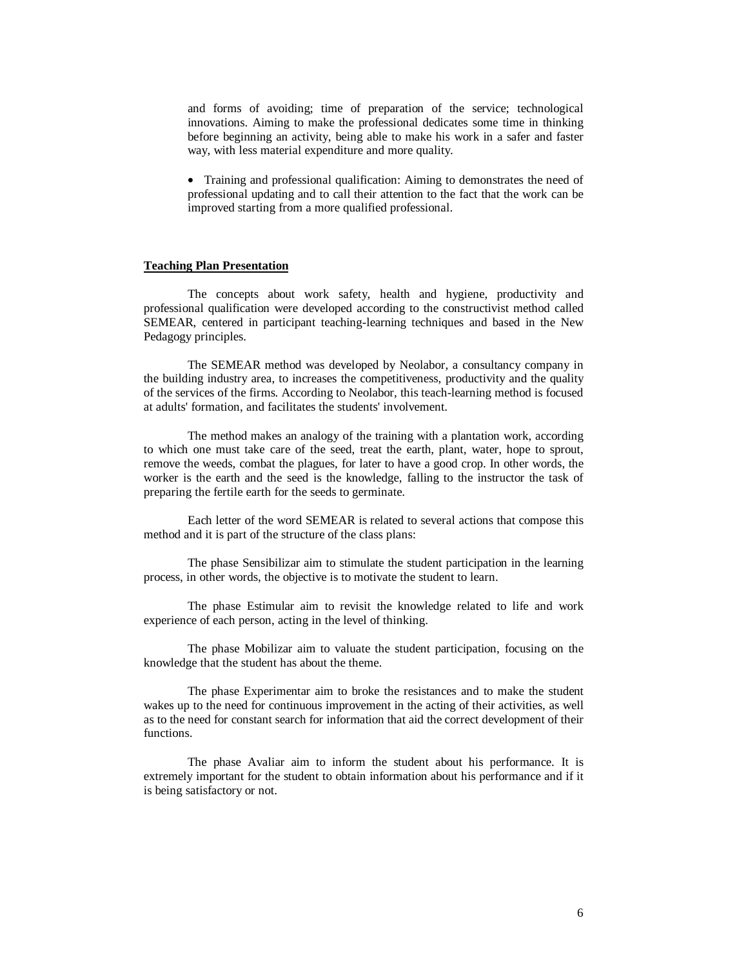and forms of avoiding; time of preparation of the service; technological innovations. Aiming to make the professional dedicates some time in thinking before beginning an activity, being able to make his work in a safer and faster way, with less material expenditure and more quality.

• Training and professional qualification: Aiming to demonstrates the need of professional updating and to call their attention to the fact that the work can be improved starting from a more qualified professional.

### **Teaching Plan Presentation**

 The concepts about work safety, health and hygiene, productivity and professional qualification were developed according to the constructivist method called SEMEAR, centered in participant teaching-learning techniques and based in the New Pedagogy principles.

 The SEMEAR method was developed by Neolabor, a consultancy company in the building industry area, to increases the competitiveness, productivity and the quality of the services of the firms. According to Neolabor, this teach-learning method is focused at adults' formation, and facilitates the students' involvement.

 The method makes an analogy of the training with a plantation work, according to which one must take care of the seed, treat the earth, plant, water, hope to sprout, remove the weeds, combat the plagues, for later to have a good crop. In other words, the worker is the earth and the seed is the knowledge, falling to the instructor the task of preparing the fertile earth for the seeds to germinate.

 Each letter of the word SEMEAR is related to several actions that compose this method and it is part of the structure of the class plans:

 The phase Sensibilizar aim to stimulate the student participation in the learning process, in other words, the objective is to motivate the student to learn.

 The phase Estimular aim to revisit the knowledge related to life and work experience of each person, acting in the level of thinking.

 The phase Mobilizar aim to valuate the student participation, focusing on the knowledge that the student has about the theme.

 The phase Experimentar aim to broke the resistances and to make the student wakes up to the need for continuous improvement in the acting of their activities, as well as to the need for constant search for information that aid the correct development of their functions.

 The phase Avaliar aim to inform the student about his performance. It is extremely important for the student to obtain information about his performance and if it is being satisfactory or not.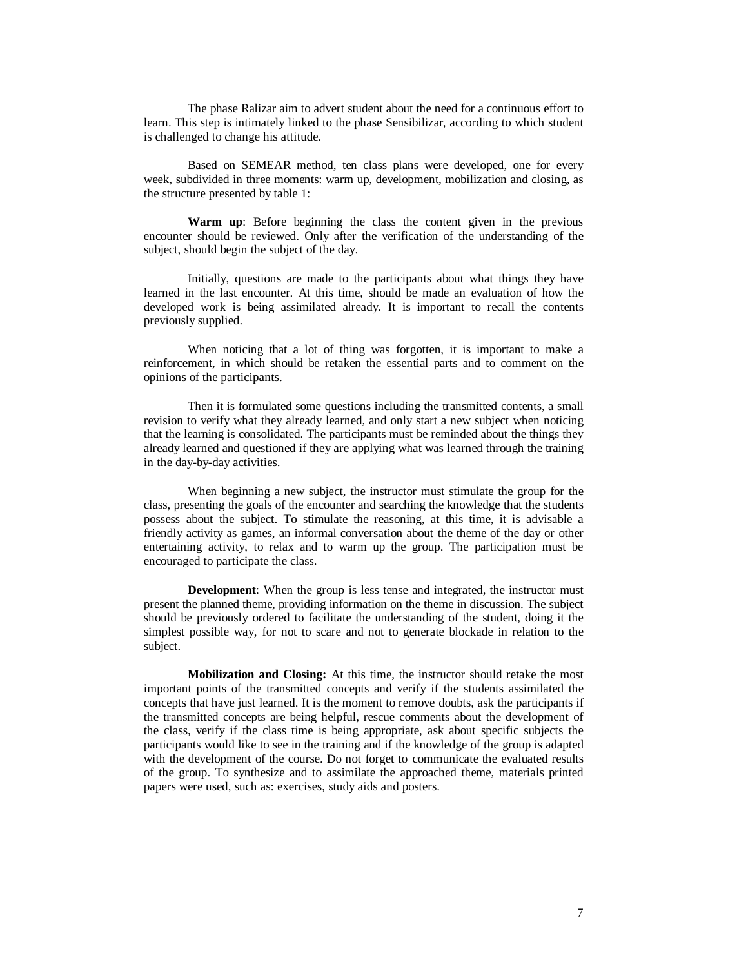The phase Ralizar aim to advert student about the need for a continuous effort to learn. This step is intimately linked to the phase Sensibilizar, according to which student is challenged to change his attitude.

 Based on SEMEAR method, ten class plans were developed, one for every week, subdivided in three moments: warm up, development, mobilization and closing, as the structure presented by table 1:

**Warm up**: Before beginning the class the content given in the previous encounter should be reviewed. Only after the verification of the understanding of the subject, should begin the subject of the day.

 Initially, questions are made to the participants about what things they have learned in the last encounter. At this time, should be made an evaluation of how the developed work is being assimilated already. It is important to recall the contents previously supplied.

 When noticing that a lot of thing was forgotten, it is important to make a reinforcement, in which should be retaken the essential parts and to comment on the opinions of the participants.

 Then it is formulated some questions including the transmitted contents, a small revision to verify what they already learned, and only start a new subject when noticing that the learning is consolidated. The participants must be reminded about the things they already learned and questioned if they are applying what was learned through the training in the day-by-day activities.

 When beginning a new subject, the instructor must stimulate the group for the class, presenting the goals of the encounter and searching the knowledge that the students possess about the subject. To stimulate the reasoning, at this time, it is advisable a friendly activity as games, an informal conversation about the theme of the day or other entertaining activity, to relax and to warm up the group. The participation must be encouraged to participate the class.

**Development**: When the group is less tense and integrated, the instructor must present the planned theme, providing information on the theme in discussion. The subject should be previously ordered to facilitate the understanding of the student, doing it the simplest possible way, for not to scare and not to generate blockade in relation to the subject.

 **Mobilization and Closing:** At this time, the instructor should retake the most important points of the transmitted concepts and verify if the students assimilated the concepts that have just learned. It is the moment to remove doubts, ask the participants if the transmitted concepts are being helpful, rescue comments about the development of the class, verify if the class time is being appropriate, ask about specific subjects the participants would like to see in the training and if the knowledge of the group is adapted with the development of the course. Do not forget to communicate the evaluated results of the group. To synthesize and to assimilate the approached theme, materials printed papers were used, such as: exercises, study aids and posters.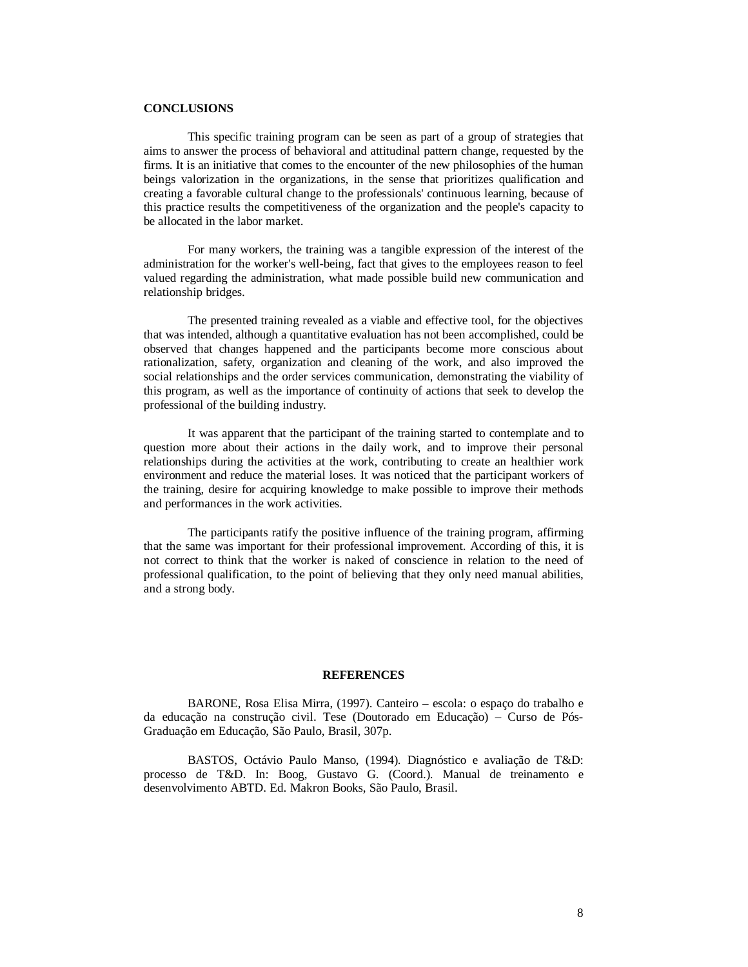## **CONCLUSIONS**

 This specific training program can be seen as part of a group of strategies that aims to answer the process of behavioral and attitudinal pattern change, requested by the firms. It is an initiative that comes to the encounter of the new philosophies of the human beings valorization in the organizations, in the sense that prioritizes qualification and creating a favorable cultural change to the professionals' continuous learning, because of this practice results the competitiveness of the organization and the people's capacity to be allocated in the labor market.

 For many workers, the training was a tangible expression of the interest of the administration for the worker's well-being, fact that gives to the employees reason to feel valued regarding the administration, what made possible build new communication and relationship bridges.

 The presented training revealed as a viable and effective tool, for the objectives that was intended, although a quantitative evaluation has not been accomplished, could be observed that changes happened and the participants become more conscious about rationalization, safety, organization and cleaning of the work, and also improved the social relationships and the order services communication, demonstrating the viability of this program, as well as the importance of continuity of actions that seek to develop the professional of the building industry.

 It was apparent that the participant of the training started to contemplate and to question more about their actions in the daily work, and to improve their personal relationships during the activities at the work, contributing to create an healthier work environment and reduce the material loses. It was noticed that the participant workers of the training, desire for acquiring knowledge to make possible to improve their methods and performances in the work activities.

 The participants ratify the positive influence of the training program, affirming that the same was important for their professional improvement. According of this, it is not correct to think that the worker is naked of conscience in relation to the need of professional qualification, to the point of believing that they only need manual abilities, and a strong body.

#### **REFERENCES**

 BARONE, Rosa Elisa Mirra, (1997). Canteiro – escola: o espaço do trabalho e da educação na construção civil. Tese (Doutorado em Educação) – Curso de Pós-Graduação em Educação, São Paulo, Brasil, 307p.

 BASTOS, Octávio Paulo Manso, (1994). Diagnóstico e avaliação de T&D: processo de T&D. In: Boog, Gustavo G. (Coord.). Manual de treinamento e desenvolvimento ABTD. Ed. Makron Books, São Paulo, Brasil.